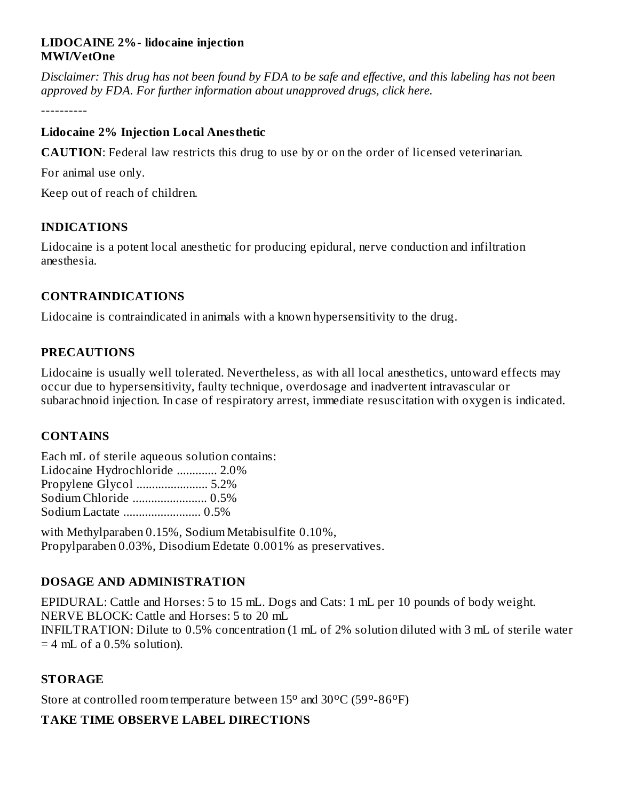#### **LIDOCAINE 2%- lidocaine injection MWI/VetOne**

Disclaimer: This drug has not been found by FDA to be safe and effective, and this labeling has not been *approved by FDA. For further information about unapproved drugs, click here.*

----------

### **Lidocaine 2% Injection Local Anesthetic**

**CAUTION**: Federal law restricts this drug to use by or on the order of licensed veterinarian.

For animal use only.

Keep out of reach of children.

# **INDICATIONS**

Lidocaine is a potent local anesthetic for producing epidural, nerve conduction and infiltration anesthesia.

## **CONTRAINDICATIONS**

Lidocaine is contraindicated in animals with a known hypersensitivity to the drug.

## **PRECAUTIONS**

Lidocaine is usually well tolerated. Nevertheless, as with all local anesthetics, untoward effects may occur due to hypersensitivity, faulty technique, overdosage and inadvertent intravascular or subarachnoid injection. In case of respiratory arrest, immediate resuscitation with oxygen is indicated.

#### **CONTAINS**

Each mL of sterile aqueous solution contains: Lidocaine Hydrochloride ............. 2.0% Propylene Glycol ....................... 5.2% Sodium Chloride ........................ 0.5% Sodium Lactate ......................... 0.5%

with Methylparaben 0.15%, Sodium Metabisulfite 0.10%, Propylparaben 0.03%, Disodium Edetate 0.001% as preservatives.

# **DOSAGE AND ADMINISTRATION**

EPIDURAL: Cattle and Horses: 5 to 15 mL. Dogs and Cats: 1 mL per 10 pounds of body weight. NERVE BLOCK: Cattle and Horses: 5 to 20 mL INFILTRATION: Dilute to 0.5% concentration (1 mL of 2% solution diluted with 3 mL of sterile water  $=$  4 mL of a 0.5% solution).

# **STORAGE**

Store at controlled room temperature between  $15^{\circ}$  and  $30^{\circ}$ C (59 $^{\circ}$ -86 $^{\circ}$ F)

# **TAKE TIME OBSERVE LABEL DIRECTIONS**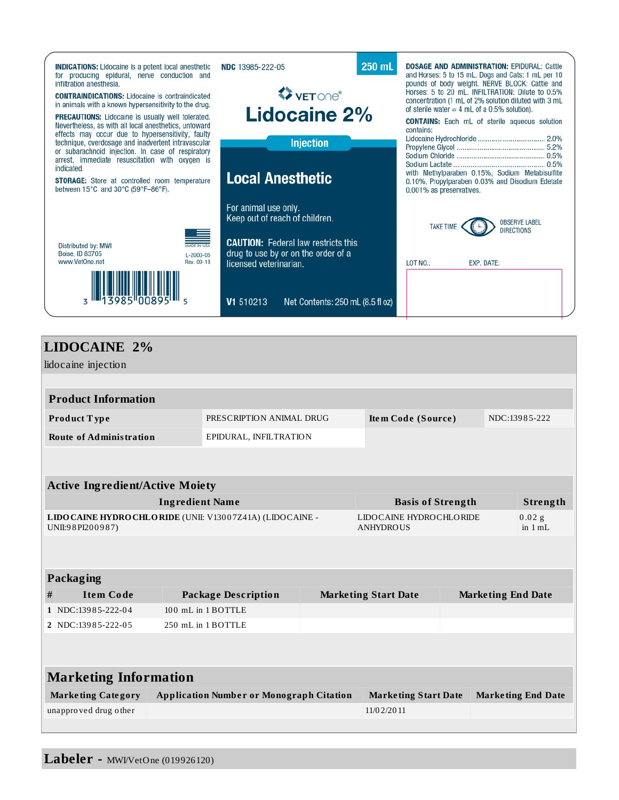

# **LIDOCAINE 2%**

lidocaine injection **Product Information Product T ype** PRESCRIPTION ANIMAL DRUG **Ite m Code (Source )** NDC:139 8 5-222 **Route of Administration** EPIDURAL, INFILTRATION **Active Ingredient/Active Moiety Ingredient Name Basis of Strength Strength LIDOCAINE HYDROCHLORIDE** (UNII: V130 0 7Z41A) (LIDOCAINE - UNII:98 PI200987) LIDOCAINE HYDROCHLORIDE ANHYDROUS  $0.02 g$ in 1 mL **Packaging # Item Code Package Description Marketing Start Date Marketing End Date 1** NDC:13985-222-04 100 mL in 1 BOTTLE **2** NDC:13985-222-05 250 mL in 1 BOTTLE **Marketing Information**

| <b>Marketing Category</b> | <b>Application Number or Monograph Citation</b> | Marketing Start Date | <b>Marketing End Date</b> |
|---------------------------|-------------------------------------------------|----------------------|---------------------------|
| unapproved drug other     |                                                 | 11/0 2/20 11         |                           |